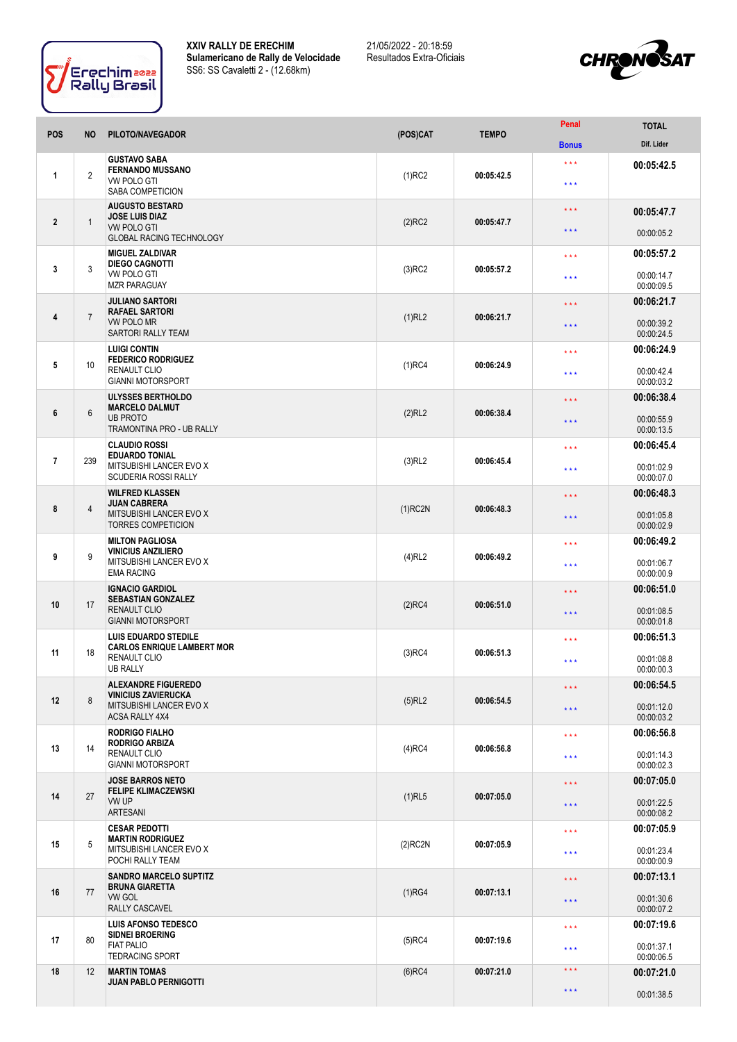

**XXIV RALLY DE ERECHIM Sulamericano de Rally de Velocidade** SS6: SS Cavaletti 2 - (12.68km)

21/05/2022 - 20:18:59 Resultados Extra-Oficiais



| <b>POS</b>       | <b>NO</b>      | PILOTO/NAVEGADOR                                                                                           | (POS)CAT   | <b>TEMPO</b> | Penal                            | <b>TOTAL</b>             |
|------------------|----------------|------------------------------------------------------------------------------------------------------------|------------|--------------|----------------------------------|--------------------------|
|                  |                |                                                                                                            |            |              | <b>Bonus</b>                     | Dif. Lider               |
| 1                | $\overline{2}$ | <b>GUSTAVO SABA</b><br><b>FERNANDO MUSSANO</b><br><b>VW POLO GTI</b><br>SABA COMPETICION                   | $(1)$ RC2  | 00:05:42.5   | $\star$ $\star$ $\star$<br>$***$ | 00:05:42.5               |
|                  | $\mathbf{1}$   | <b>AUGUSTO BESTARD</b><br><b>JOSE LUIS DIAZ</b><br><b>VW POLO GTI</b><br><b>GLOBAL RACING TECHNOLOGY</b>   |            |              | $\star$ $\star$ $\star$          | 00:05:47.7               |
| $\mathbf{2}$     |                |                                                                                                            | $(2)$ RC2  | 00:05:47.7   | $\star$ $\star$ $\star$          | 00:00:05.2               |
|                  |                | <b>MIGUEL ZALDIVAR</b><br><b>DIEGO CAGNOTTI</b><br><b>VW POLO GTI</b><br><b>MZR PARAGUAY</b>               | $(3)$ RC2  | 00:05:57.2   | $\star\star\star$                | 00:05:57.2               |
| 3                | 3              |                                                                                                            |            |              | $***$                            | 00:00:14.7<br>00:00:09.5 |
|                  | $\overline{7}$ | <b>JULIANO SARTORI</b><br><b>RAFAEL SARTORI</b><br><b>VW POLO MR</b><br>SARTORI RALLY TEAM                 | (1)RL2     | 00:06:21.7   | $***$                            | 00:06:21.7               |
| 4                |                |                                                                                                            |            |              | * * *                            | 00:00:39.2<br>00:00:24.5 |
|                  | 10             | <b>LUIGI CONTIN</b><br><b>FEDERICO RODRIGUEZ</b><br><b>RENAULT CLIO</b><br><b>GIANNI MOTORSPORT</b>        | $(1)$ RC4  | 00:06:24.9   | $\star\star\star$                | 00:06:24.9               |
| 5                |                |                                                                                                            |            |              | * * *                            | 00:00:42.4<br>00:00:03.2 |
|                  |                | ULYSSES BERTHOLDO<br><b>MARCELO DALMUT</b><br><b>UB PROTO</b><br>TRAMONTINA PRO - UB RALLY                 |            | 00:06:38.4   | $\star$ $\star$ $\star$          | 00:06:38.4               |
| $\boldsymbol{6}$ | $6\,$          |                                                                                                            | (2)RL2     |              | $\star$ $\star$ $\star$          | 00:00:55.9<br>00:00:13.5 |
|                  |                | <b>CLAUDIO ROSSI</b><br><b>EDUARDO TONIAL</b><br>MITSUBISHI LANCER EVO X<br><b>SCUDERIA ROSSI RALLY</b>    |            |              | $\star\star\star$                | 00:06:45.4               |
| $\overline{7}$   | 239            |                                                                                                            | $(3)$ RL2  | 00:06:45.4   | $* * *$                          | 00:01:02.9<br>00:00:07.0 |
|                  |                | <b>WILFRED KLASSEN</b><br><b>JUAN CABRERA</b>                                                              |            |              | * * *                            | 00:06:48.3               |
| 8                | 4              | MITSUBISHI LANCER EVO X<br><b>TORRES COMPETICION</b>                                                       | $(1)$ RC2N | 00:06:48.3   | * * *                            | 00:01:05.8<br>00:00:02.9 |
|                  |                | <b>MILTON PAGLIOSA</b><br><b>VINICIUS ANZILIERO</b><br>MITSUBISHI LANCER EVO X<br><b>EMA RACING</b>        | $(4)$ RL2  | 00:06:49.2   | $\star\star\star$                | 00:06:49.2               |
| 9                | 9              |                                                                                                            |            |              | $***$                            | 00:01:06.7<br>00:00:00.9 |
|                  | 17             | <b>IGNACIO GARDIOL</b><br><b>SEBASTIAN GONZALEZ</b><br><b>RENAULT CLIO</b><br><b>GIANNI MOTORSPORT</b>     | $(2)$ RC4  | 00:06:51.0   | * * *                            | 00:06:51.0               |
| 10               |                |                                                                                                            |            |              | $\star$ $\star$ $\star$          | 00:01:08.5<br>00:00:01.8 |
|                  | 18             | <b>LUIS EDUARDO STEDILE</b><br><b>CARLOS ENRIQUE LAMBERT MOR</b><br><b>RENAULT CLIO</b><br><b>UB RALLY</b> | $(3)$ RC4  | 00:06:51.3   | $***$                            | 00:06:51.3               |
| 11               |                |                                                                                                            |            |              | $***$                            | 00:01:08.8<br>00:00:00.3 |
|                  |                | <b>ALEXANDRE FIGUEREDO</b><br><b>VINICIUS ZAVIERUCKA</b>                                                   |            |              | $***$                            | 00:06:54.5               |
| 12               | $\bf 8$        | MITSUBISHI LANCER EVO X<br><b>ACSA RALLY 4X4</b>                                                           | $(5)$ RL2  | 00:06:54.5   | $\star$ $\star$ $\star$          | 00:01:12.0<br>00:00:03.2 |
|                  |                | <b>RODRIGO FIALHO</b><br><b>RODRIGO ARBIZA</b><br>14<br><b>RENAULT CLIO</b><br><b>GIANNI MOTORSPORT</b>    | $(4)$ RC4  | 00:06:56.8   | $\star\star\star$                | 00:06:56.8               |
| 13               |                |                                                                                                            |            |              | $\star$ $\star$ $\star$          | 00:01:14.3<br>00:00:02.3 |
|                  | 27             | <b>JOSE BARROS NETO</b><br><b>FELIPE KLIMACZEWSKI</b><br>VW UP<br><b>ARTESANI</b>                          | $(1)$ RL5  | 00:07:05.0   | * * *                            | 00:07:05.0               |
| 14               |                |                                                                                                            |            |              | $\star$ $\star$ $\star$          | 00:01:22.5<br>00:00:08.2 |
|                  | 5              | <b>CESAR PEDOTTI</b><br><b>MARTIN RODRIGUEZ</b><br>MITSUBISHI LANCER EVO X<br>POCHI RALLY TEAM             | $(2)$ RC2N | 00:07:05.9   | $\star\star\star$                | 00:07:05.9               |
| 15               |                |                                                                                                            |            |              | $***$                            | 00:01:23.4<br>00:00:00.9 |
|                  | 77             | <b>SANDRO MARCELO SUPTITZ</b><br><b>BRUNA GIARETTA</b><br><b>VW GOL</b><br>RALLY CASCAVEL                  | (1)RG4     | 00:07:13.1   | $\star$ $\star$ $\star$          | 00:07:13.1               |
| 16               |                |                                                                                                            |            |              | $\star$ $\star$ $\star$          | 00:01:30.6<br>00:00:07.2 |
|                  |                | <b>LUIS AFONSO TEDESCO</b><br>SIDNEI BROERING                                                              |            | 00:07:19.6   | $\star$ $\star$ $\star$          | 00:07:19.6               |
| 17               | 80             | <b>FIAT PALIO</b><br><b>TEDRACING SPORT</b>                                                                | $(5)$ RC4  |              | $***$                            | 00:01:37.1<br>00:00:06.5 |
| 18               | 12             | <b>MARTIN TOMAS</b><br><b>JUAN PABLO PERNIGOTTI</b>                                                        | $(6)$ RC4  | 00:07:21.0   | $\star$ $\star$ $\star$          | 00:07:21.0               |
|                  |                |                                                                                                            |            |              | $\star$ $\star$ $\star$          | 00:01:38.5               |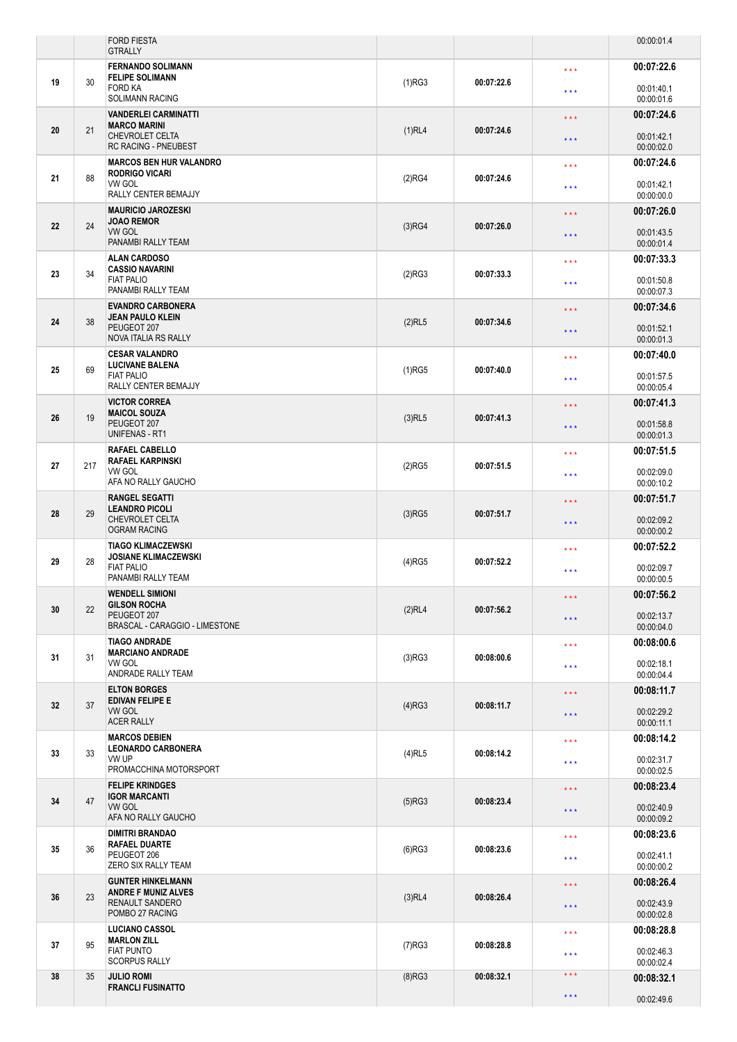|    |     | <b>FORD FIESTA</b><br><b>GTRALLY</b>                                                                |           |            |                   | 00:00:01.4               |
|----|-----|-----------------------------------------------------------------------------------------------------|-----------|------------|-------------------|--------------------------|
|    |     | <b>FERNANDO SOLIMANN</b>                                                                            |           |            | * * *             | 00:07:22.6               |
| 19 | 30  | <b>FELIPE SOLIMANN</b><br><b>FORD KA</b><br><b>SOLIMANN RACING</b>                                  | (1)RG3    | 00:07:22.6 | * * *             | 00:01:40.1<br>00:00:01.6 |
|    |     | <b>VANDERLEI CARMINATTI</b>                                                                         |           |            | ***               | 00:07:24.6               |
| 20 | 21  | <b>MARCO MARINI</b><br>CHEVROLET CELTA<br><b>RC RACING - PNEUBEST</b>                               | $(1)$ RL4 | 00:07:24.6 | * * *             | 00:01:42.1<br>00:00:02.0 |
|    |     | <b>MARCOS BEN HUR VALANDRO</b><br><b>RODRIGO VICARI</b>                                             |           |            | * * *             | 00:07:24.6               |
| 21 | 88  | VW GOL<br>RALLY CENTER BEMAJJY                                                                      | (2)RG4    | 00:07:24.6 | * * *             | 00:01:42.1<br>00:00:00.0 |
|    |     | <b>MAURICIO JAROZESKI</b><br><b>JOAO REMOR</b>                                                      |           | 00:07:26.0 | $***$             | 00:07:26.0               |
| 22 | 24  | <b>VW GOL</b><br>PANAMBI RALLY TEAM                                                                 | $(3)$ RG4 |            | * * *             | 00:01:43.5<br>00:00:01.4 |
|    |     | <b>ALAN CARDOSO</b><br><b>CASSIO NAVARINI</b>                                                       |           | 00:07:33.3 | * * *             | 00:07:33.3               |
| 23 | 34  | <b>FIAT PALIO</b><br>PANAMBI RALLY TEAM                                                             | (2)RG3    |            | * * *             | 00:01:50.8<br>00:00:07.3 |
|    |     | <b>EVANDRO CARBONERA</b><br><b>JEAN PAULO KLEIN</b><br>PEUGEOT 207<br>NOVA ITALIA RS RALLY          |           | 00:07:34.6 | * * *             | 00:07:34.6               |
| 24 | 38  |                                                                                                     | $(2)$ RL5 |            | * * *             | 00:01:52.1<br>00:00:01.3 |
|    |     | <b>CESAR VALANDRO</b><br><b>LUCIVANE BALENA</b>                                                     |           |            | * * *             | 00:07:40.0               |
| 25 | 69  | <b>FIAT PALIO</b><br>RALLY CENTER BEMAJJY                                                           | $(1)$ RG5 | 00:07:40.0 | * * *             | 00:01:57.5<br>00:00:05.4 |
|    |     | <b>VICTOR CORREA</b><br><b>MAICOL SOUZA</b>                                                         |           |            | * * *             | 00:07:41.3               |
| 26 | 19  | PEUGEOT 207<br><b>UNIFENAS - RT1</b>                                                                | $(3)$ RL5 | 00:07:41.3 | * * *             | 00:01:58.8<br>00:00:01.3 |
|    |     | <b>RAFAEL CABELLO</b><br><b>RAFAEL KARPINSKI</b>                                                    |           |            | * * *             | 00:07:51.5               |
| 27 | 217 | VW GOL<br>AFA NO RALLY GAUCHO                                                                       | $(2)$ RG5 | 00:07:51.5 | * * *             | 00:02:09.0<br>00:00:10.2 |
|    | 29  | <b>RANGEL SEGATTI</b><br><b>LEANDRO PICOLI</b><br><b>CHEVROLET CELTA</b><br><b>OGRAM RACING</b>     | $(3)$ RG5 | 00:07:51.7 | $\star\star\star$ | 00:07:51.7               |
| 28 |     |                                                                                                     |           |            | * * *             | 00:02:09.2<br>00:00:00.2 |
|    | 28  | <b>TIAGO KLIMACZEWSKI</b><br><b>JOSIANE KLIMACZEWSKI</b><br><b>FIAT PALIO</b><br>PANAMBI RALLY TEAM | $(4)$ RG5 | 00:07:52.2 | * * *             | 00:07:52.2               |
| 29 |     |                                                                                                     |           |            | * * *             | 00:02:09.7<br>00:00:00.5 |
|    |     | <b>WENDELL SIMIONI</b><br><b>GILSON ROCHA</b><br>PEUGEOT 207<br>BRASCAL - CARAGGIO - LIMESTONE      | (2)RL4    | 00:07:56.2 | $***$             | 00:07:56.2               |
| 30 | 22  |                                                                                                     |           |            | * * *             | 00:02:13.7<br>00:00:04.0 |
|    |     | <b>TIAGO ANDRADE</b><br><b>MARCIANO ANDRADE</b>                                                     |           | 00:08:00.6 | * * *             | 00:08:00.6               |
| 31 | 31  | VW GOL<br>ANDRADE RALLY TEAM                                                                        | (3)RG3    |            | $\star\star\star$ | 00:02:18.1<br>00:00:04.4 |
|    | 37  | <b>ELTON BORGES</b><br><b>EDIVAN FELIPE E</b><br><b>VW GOL</b><br><b>ACER RALLY</b>                 | (4)RG3    | 00:08:11.7 | * * *             | 00:08:11.7               |
| 32 |     |                                                                                                     |           |            | $\star\star\star$ | 00:02:29.2<br>00:00:11.1 |
|    | 33  | <b>MARCOS DEBIEN</b><br><b>LEONARDO CARBONERA</b><br>VW UP<br>PROMACCHINA MOTORSPORT                |           | 00:08:14.2 | ***               | 00:08:14.2               |
| 33 |     |                                                                                                     | $(4)$ RL5 |            | * * *             | 00:02:31.7<br>00:00:02.5 |
|    | 47  | <b>FELIPE KRINDGES</b><br><b>IGOR MARCANTI</b><br><b>VW GOL</b><br>AFA NO RALLY GAUCHO              | (5)RG3    | 00:08:23.4 | * * *             | 00:08:23.4               |
| 34 |     |                                                                                                     |           |            | * * *             | 00:02:40.9<br>00:00:09.2 |
|    | 36  | <b>DIMITRI BRANDAO</b><br><b>RAFAEL DUARTE</b><br>PEUGEOT 206<br>ZERO SIX RALLY TEAM                | $(6)$ RG3 | 00:08:23.6 | * * *             | 00:08:23.6               |
| 35 |     |                                                                                                     |           |            | * * *             | 00:02:41.1<br>00:00:00.2 |
|    | 23  | <b>GUNTER HINKELMANN</b><br><b>ANDRE F MUNIZ ALVES</b><br><b>RENAULT SANDERO</b><br>POMBO 27 RACING | $(3)$ RL4 | 00:08:26.4 | $\star\star\star$ | 00:08:26.4               |
| 36 |     |                                                                                                     |           |            | * * *             | 00:02:43.9<br>00:00:02.8 |
|    |     | <b>LUCIANO CASSOL</b><br><b>MARLON ZILL</b>                                                         |           |            | * * *             | 00:08:28.8               |
| 37 | 95  | <b>FIAT PUNTO</b><br><b>SCORPUS RALLY</b>                                                           | $(7)$ RG3 | 00:08:28.8 | * * *             | 00:02:46.3<br>00:00:02.4 |
| 38 | 35  | <b>JULIO ROMI</b><br><b>FRANCLI FUSINATTO</b>                                                       | $(8)$ RG3 | 00:08:32.1 | $\star\star\star$ | 00:08:32.1               |
|    |     |                                                                                                     |           |            | * * *             | 00:02:49.6               |